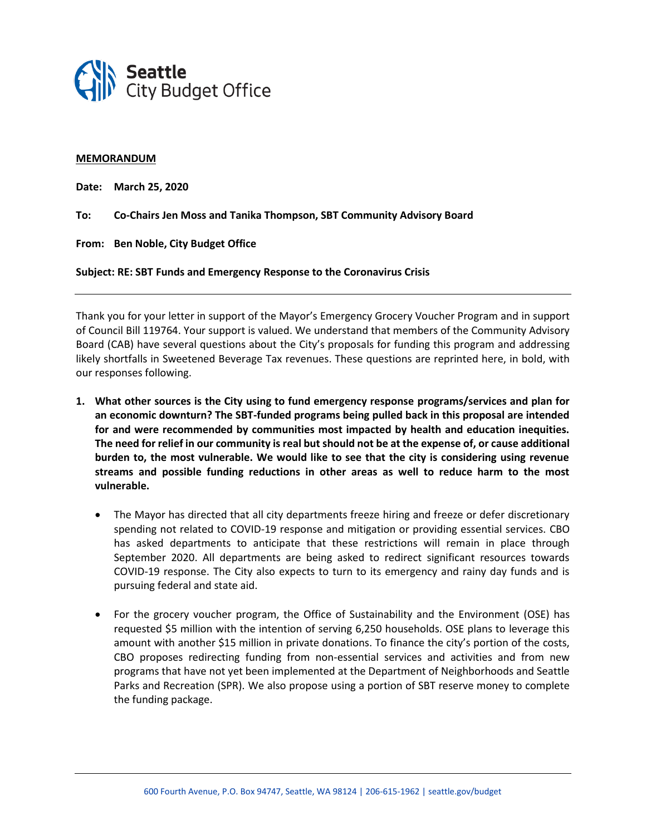

## **MEMORANDUM**

**Date: March 25, 2020**

**To: Co-Chairs Jen Moss and Tanika Thompson, SBT Community Advisory Board**

**From: Ben Noble, City Budget Office**

**Subject: RE: SBT Funds and Emergency Response to the Coronavirus Crisis**

Thank you for your letter in support of the Mayor's Emergency Grocery Voucher Program and in support of Council Bill 119764. Your support is valued. We understand that members of the Community Advisory Board (CAB) have several questions about the City's proposals for funding this program and addressing likely shortfalls in Sweetened Beverage Tax revenues. These questions are reprinted here, in bold, with our responses following.

- **1. What other sources is the City using to fund emergency response programs/services and plan for an economic downturn? The SBT-funded programs being pulled back in this proposal are intended for and were recommended by communities most impacted by health and education inequities. The need for relief in our community is real but should not be at the expense of, or cause additional burden to, the most vulnerable. We would like to see that the city is considering using revenue streams and possible funding reductions in other areas as well to reduce harm to the most vulnerable.**
	- The Mayor has directed that all city departments freeze hiring and freeze or defer discretionary spending not related to COVID-19 response and mitigation or providing essential services. CBO has asked departments to anticipate that these restrictions will remain in place through September 2020. All departments are being asked to redirect significant resources towards COVID-19 response. The City also expects to turn to its emergency and rainy day funds and is pursuing federal and state aid.
	- For the grocery voucher program, the Office of Sustainability and the Environment (OSE) has requested \$5 million with the intention of serving 6,250 households. OSE plans to leverage this amount with another \$15 million in private donations. To finance the city's portion of the costs, CBO proposes redirecting funding from non-essential services and activities and from new programs that have not yet been implemented at the Department of Neighborhoods and Seattle Parks and Recreation (SPR). We also propose using a portion of SBT reserve money to complete the funding package.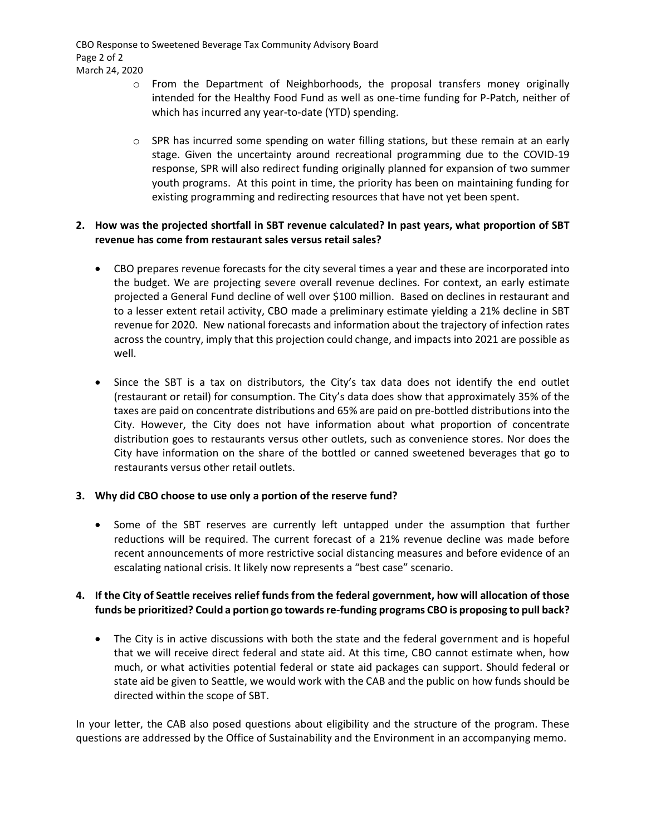CBO Response to Sweetened Beverage Tax Community Advisory Board Page 2 of 2 March 24, 2020

- o From the Department of Neighborhoods, the proposal transfers money originally intended for the Healthy Food Fund as well as one-time funding for P-Patch, neither of which has incurred any year-to-date (YTD) spending.
- $\circ$  SPR has incurred some spending on water filling stations, but these remain at an early stage. Given the uncertainty around recreational programming due to the COVID-19 response, SPR will also redirect funding originally planned for expansion of two summer youth programs. At this point in time, the priority has been on maintaining funding for existing programming and redirecting resources that have not yet been spent.

## **2. How was the projected shortfall in SBT revenue calculated? In past years, what proportion of SBT revenue has come from restaurant sales versus retail sales?**

- CBO prepares revenue forecasts for the city several times a year and these are incorporated into the budget. We are projecting severe overall revenue declines. For context, an early estimate projected a General Fund decline of well over \$100 million. Based on declines in restaurant and to a lesser extent retail activity, CBO made a preliminary estimate yielding a 21% decline in SBT revenue for 2020. New national forecasts and information about the trajectory of infection rates across the country, imply that this projection could change, and impacts into 2021 are possible as well.
- Since the SBT is a tax on distributors, the City's tax data does not identify the end outlet (restaurant or retail) for consumption. The City's data does show that approximately 35% of the taxes are paid on concentrate distributions and 65% are paid on pre-bottled distributions into the City. However, the City does not have information about what proportion of concentrate distribution goes to restaurants versus other outlets, such as convenience stores. Nor does the City have information on the share of the bottled or canned sweetened beverages that go to restaurants versus other retail outlets.

## **3. Why did CBO choose to use only a portion of the reserve fund?**

• Some of the SBT reserves are currently left untapped under the assumption that further reductions will be required. The current forecast of a 21% revenue decline was made before recent announcements of more restrictive social distancing measures and before evidence of an escalating national crisis. It likely now represents a "best case" scenario.

## **4. If the City of Seattle receives relief funds from the federal government, how will allocation of those funds be prioritized? Could a portion go towards re-funding programs CBO is proposing to pull back?**

• The City is in active discussions with both the state and the federal government and is hopeful that we will receive direct federal and state aid. At this time, CBO cannot estimate when, how much, or what activities potential federal or state aid packages can support. Should federal or state aid be given to Seattle, we would work with the CAB and the public on how funds should be directed within the scope of SBT.

In your letter, the CAB also posed questions about eligibility and the structure of the program. These questions are addressed by the Office of Sustainability and the Environment in an accompanying memo.